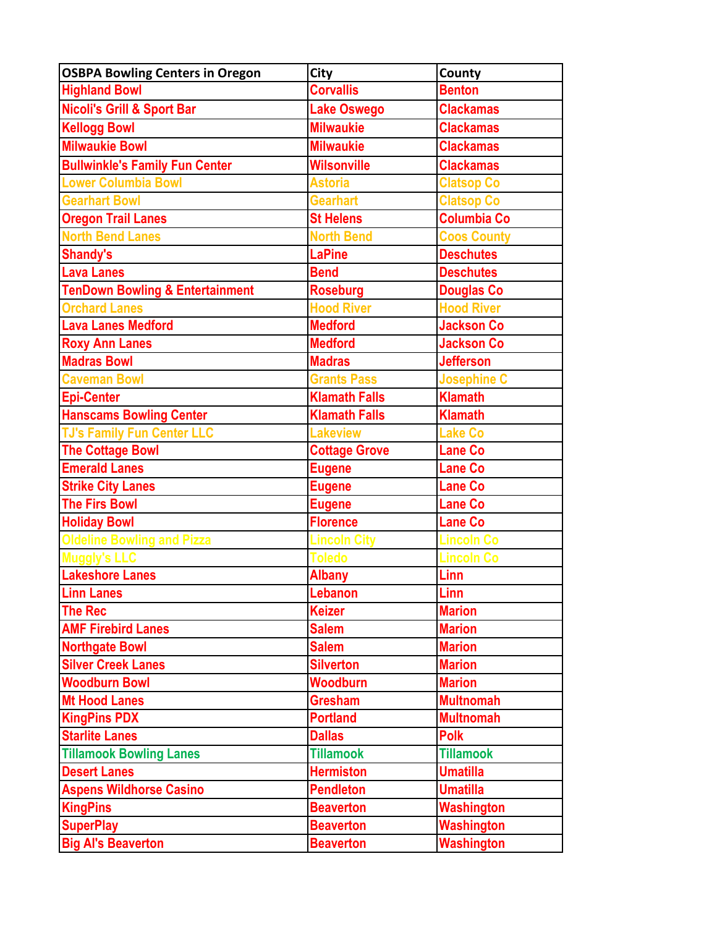| <b>OSBPA Bowling Centers in Oregon</b>     | <b>City</b>          | County             |
|--------------------------------------------|----------------------|--------------------|
| <b>Highland Bowl</b>                       | <b>Corvallis</b>     | <b>Benton</b>      |
| <b>Nicoli's Grill &amp; Sport Bar</b>      | <b>Lake Oswego</b>   | <b>Clackamas</b>   |
| <b>Kellogg Bowl</b>                        | <b>Milwaukie</b>     | <b>Clackamas</b>   |
| <b>Milwaukie Bowl</b>                      | <b>Milwaukie</b>     | <b>Clackamas</b>   |
| <b>Bullwinkle's Family Fun Center</b>      | <b>Wilsonville</b>   | <b>Clackamas</b>   |
| <b>Lower Columbia Bowl</b>                 | <b>Astoria</b>       | <b>Clatsop Co</b>  |
| <b>Gearhart Bowl</b>                       | <b>Gearhart</b>      | <b>Clatsop Co</b>  |
| <b>Oregon Trail Lanes</b>                  | <b>St Helens</b>     | <b>Columbia Co</b> |
| <b>North Bend Lanes</b>                    | <b>North Bend</b>    | <b>Coos County</b> |
| <b>Shandy's</b>                            | <b>LaPine</b>        | <b>Deschutes</b>   |
| <b>Lava Lanes</b>                          | <b>Bend</b>          | <b>Deschutes</b>   |
| <b>TenDown Bowling &amp; Entertainment</b> | <b>Roseburg</b>      | <b>Douglas Co</b>  |
| <b>Orchard Lanes</b>                       | <b>Hood River</b>    | <b>Hood River</b>  |
| <b>Lava Lanes Medford</b>                  | <b>Medford</b>       | <b>Jackson Co</b>  |
| <b>Roxy Ann Lanes</b>                      | <b>Medford</b>       | <b>Jackson Co</b>  |
| <b>Madras Bowl</b>                         | <b>Madras</b>        | <b>Jefferson</b>   |
| <b>Caveman Bowl</b>                        | <b>Grants Pass</b>   | <b>Josephine C</b> |
| <b>Epi-Center</b>                          | <b>Klamath Falls</b> | <b>Klamath</b>     |
| <b>Hanscams Bowling Center</b>             | <b>Klamath Falls</b> | <b>Klamath</b>     |
| <b>TJ's Family Fun Center LLC</b>          | <b>Lakeview</b>      | <b>Lake Co</b>     |
| <b>The Cottage Bowl</b>                    | <b>Cottage Grove</b> | <b>Lane Co</b>     |
| <b>Emerald Lanes</b>                       | <b>Eugene</b>        | Lane Co            |
| <b>Strike City Lanes</b>                   | <b>Eugene</b>        | <b>Lane Co</b>     |
| <b>The Firs Bowl</b>                       | <b>Eugene</b>        | <b>Lane Co</b>     |
| <b>Holiday Bowl</b>                        | <b>Florence</b>      | <b>Lane Co</b>     |
| <b>Oldeline Bowling and Pizza</b>          | <b>Lincoln City</b>  | <b>Lincoln Co</b>  |
| Muaaly's LLC                               | <b>Toledo</b>        | <b>Lincoln Co</b>  |
| Lakeshore Lanes                            | <b>Albany</b>        | Linn               |
| <b>Linn Lanes</b>                          | Lebanon              | Linn               |
| <b>The Rec</b>                             | <b>Keizer</b>        | <b>Marion</b>      |
| <b>AMF Firebird Lanes</b>                  | <b>Salem</b>         | <b>Marion</b>      |
| <b>Northgate Bowl</b>                      | <b>Salem</b>         | <b>Marion</b>      |
| <b>Silver Creek Lanes</b>                  | <b>Silverton</b>     | <b>Marion</b>      |
| <b>Woodburn Bowl</b>                       | <b>Woodburn</b>      | <b>Marion</b>      |
| <b>Mt Hood Lanes</b>                       | <b>Gresham</b>       | <b>Multnomah</b>   |
| <b>KingPins PDX</b>                        | <b>Portland</b>      | <b>Multnomah</b>   |
| <b>Starlite Lanes</b>                      | <b>Dallas</b>        | <b>Polk</b>        |
| <b>Tillamook Bowling Lanes</b>             | <b>Tillamook</b>     | <b>Tillamook</b>   |
| <b>Desert Lanes</b>                        | <b>Hermiston</b>     | <b>Umatilla</b>    |
| <b>Aspens Wildhorse Casino</b>             | <b>Pendleton</b>     | <b>Umatilla</b>    |
| <b>KingPins</b>                            | <b>Beaverton</b>     | <b>Washington</b>  |
| <b>SuperPlay</b>                           | <b>Beaverton</b>     | Washington         |
| <b>Big Al's Beaverton</b>                  | <b>Beaverton</b>     | <b>Washington</b>  |